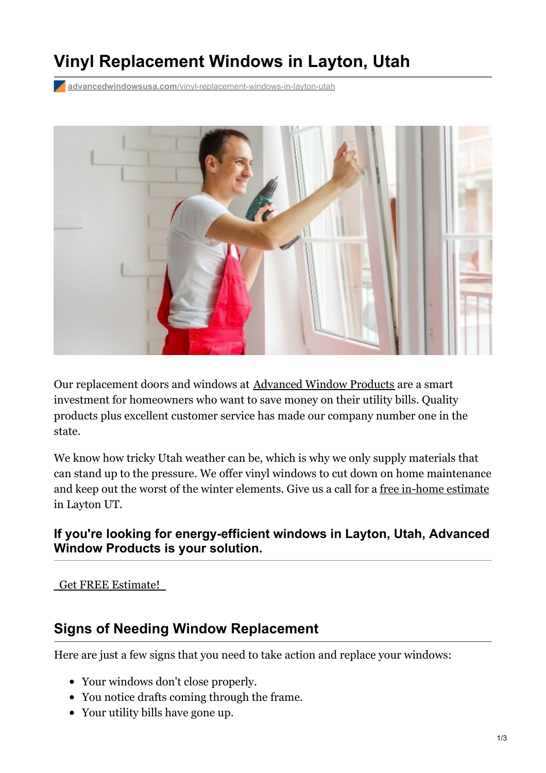# **Vinyl Replacement Windows in Layton, Utah**

**advancedwindowsusa.com**[/vinyl-replacement-windows-in-layton-utah](https://advancedwindowsusa.com/vinyl-replacement-windows-in-layton-utah)



Our replacement doors and windows at [Advanced](https://advancedwindowsusa.com/why-choose-us) Window Products are a smart investment for homeowners who want to save money on their utility bills. Quality products plus excellent customer service has made our company number one in the state.

We know how tricky Utah weather can be, which is why we only supply materials that can stand up to the pressure. We offer vinyl windows to cut down on home maintenance and keep out the worst of the winter elements. Give us a call for a free [in-home](https://advancedwindowsusa.com/contact-us) estimate in Layton UT.

### **If you're looking for energy-efficient windows in Layton, Utah, Advanced Window Products is your solution.**

#### Get FREE [Estimate!](tel:8015059622)

### **Signs of Needing Window Replacement**

Here are just a few signs that you need to take action and replace your windows:

- Your windows don't close properly.
- You notice drafts coming through the frame.
- Your utility bills have gone up.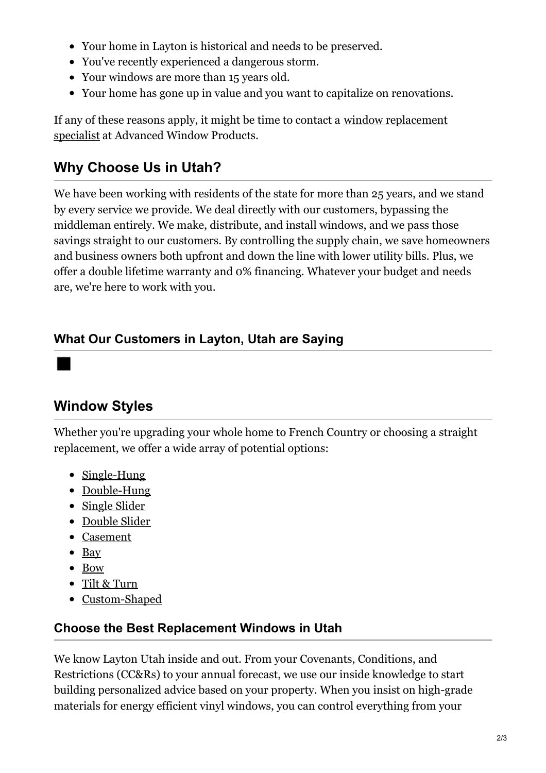- Your home in Layton is historical and needs to be preserved.
- You've recently experienced a dangerous storm.
- Your windows are more than 15 years old.
- Your home has gone up in value and you want to capitalize on renovations.

If any of these reasons apply, it might be time to contact a window [replacement](https://advancedwindowsusa.com/salt-lake-city-window-replacement-company) specialist at Advanced Window Products.

# **Why Choose Us in Utah?**

We have been working with residents of the state for more than 25 years, and we stand by every service we provide. We deal directly with our customers, bypassing the middleman entirely. We make, distribute, and install windows, and we pass those savings straight to our customers. By controlling the supply chain, we save homeowners and business owners both upfront and down the line with lower utility bills. Plus, we offer a double lifetime warranty and 0% financing. Whatever your budget and needs are, we're here to work with you.

## **What Our Customers in Layton, Utah are Saying**

# **Window Styles**

Whether you're upgrading your whole home to French Country or choosing a straight replacement, we offer a wide array of potential options:

- [Single-Hung](https://advancedwindowsusa.com/single-hung-windows)
- [Double-Hung](https://advancedwindowsusa.com/double-hung-windows)
- [Single](https://advancedwindowsusa.com/single-slider-windows) Slider
- [Double](https://advancedwindowsusa.com/double-slider-windows) Slider
- [Casement](https://advancedwindowsusa.com/casement-windows-utah-imperial-line)
- $\bullet$  [Bay](https://advancedwindowsusa.com/bay-windows-vs-bow-windows)
- [Bow](https://advancedwindowsusa.com/bay-windows-vs-bow-windows)
- Tilt & [Turn](https://advancedwindowsusa.com/tilt-turn-windows)
- [Custom-Shaped](https://advancedwindowsusa.com/custom-shaped-windows)

## **Choose the Best Replacement Windows in Utah**

We know Layton Utah inside and out. From your Covenants, Conditions, and Restrictions (CC&Rs) to your annual forecast, we use our inside knowledge to start building personalized advice based on your property. When you insist on high-grade materials for energy efficient vinyl windows, you can control everything from your